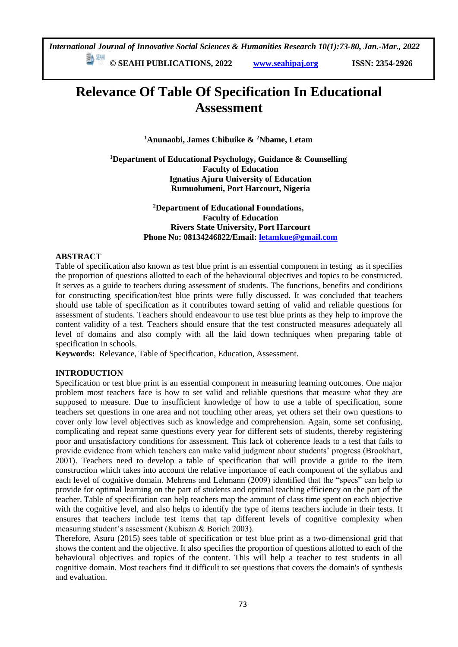*International Journal of Innovative Social Sciences & Humanities Research 10(1):73-80, Jan.-Mar., 2022*

 **© SEAHI PUBLICATIONS, 2022 [www.seahipaj.org](http://www.seahipaj.org/) ISSN: 2354-2926** 

## **Relevance Of Table Of Specification In Educational Assessment**

**<sup>1</sup>Anunaobi, James Chibuike & <sup>2</sup>Nbame, Letam**

**<sup>1</sup>Department of Educational Psychology, Guidance & Counselling Faculty of Education Ignatius Ajuru University of Education Rumuolumeni, Port Harcourt, Nigeria**

> **<sup>2</sup>Department of Educational Foundations, Faculty of Education Rivers State University, Port Harcourt Phone No: 08134246822/Email[: letamkue@gmail.com](mailto:letamkue@gmail.com)**

#### **ABSTRACT**

Table of specification also known as test blue print is an essential component in testing as it specifies the proportion of questions allotted to each of the behavioural objectives and topics to be constructed. It serves as a guide to teachers during assessment of students. The functions, benefits and conditions for constructing specification/test blue prints were fully discussed. It was concluded that teachers should use table of specification as it contributes toward setting of valid and reliable questions for assessment of students. Teachers should endeavour to use test blue prints as they help to improve the content validity of a test. Teachers should ensure that the test constructed measures adequately all level of domains and also comply with all the laid down techniques when preparing table of specification in schools.

**Keywords:** Relevance, Table of Specification, Education, Assessment.

#### **INTRODUCTION**

Specification or test blue print is an essential component in measuring learning outcomes. One major problem most teachers face is how to set valid and reliable questions that measure what they are supposed to measure. Due to insufficient knowledge of how to use a table of specification, some teachers set questions in one area and not touching other areas, yet others set their own questions to cover only low level objectives such as knowledge and comprehension. Again, some set confusing, complicating and repeat same questions every year for different sets of students, thereby registering poor and unsatisfactory conditions for assessment. This lack of coherence leads to a test that fails to provide evidence from which teachers can make valid judgment about students' progress (Brookhart, 2001). Teachers need to develop a table of specification that will provide a guide to the item construction which takes into account the relative importance of each component of the syllabus and each level of cognitive domain. Mehrens and Lehmann (2009) identified that the "specs" can help to provide for optimal learning on the part of students and optimal teaching efficiency on the part of the teacher. Table of specification can help teachers map the amount of class time spent on each objective with the cognitive level, and also helps to identify the type of items teachers include in their tests. It ensures that teachers include test items that tap different levels of cognitive complexity when measuring student's assessment (Kubiszn & Borich 2003).

Therefore, Asuru (2015) sees table of specification or test blue print as a two-dimensional grid that shows the content and the objective. It also specifies the proportion of questions allotted to each of the behavioural objectives and topics of the content. This will help a teacher to test students in all cognitive domain. Most teachers find it difficult to set questions that covers the domain's of synthesis and evaluation.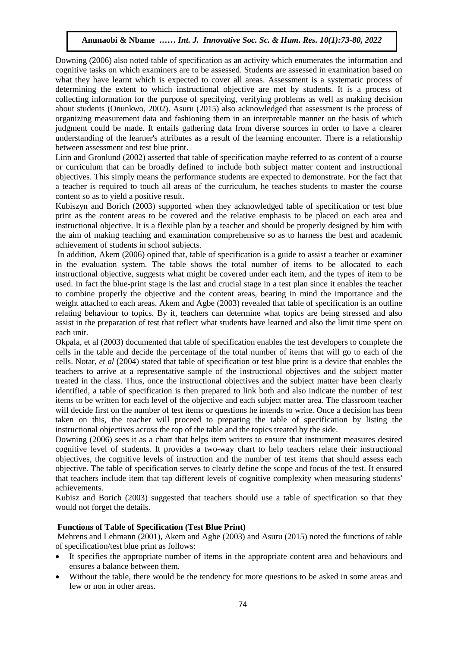Downing (2006) also noted table of specification as an activity which enumerates the information and cognitive tasks on which examiners are to be assessed. Students are assessed in examination based on what they have learnt which is expected to cover all areas. Assessment is a systematic process of determining the extent to which instructional objective are met by students. It is a process of collecting information for the purpose of specifying, verifying problems as well as making decision about students (Onunkwo, 2002). Asuru (2015) also acknowledged that assessment is the process of organizing measurement data and fashioning them in an interpretable manner on the basis of which organizing measurement data and rasmoning them in an interpretable manner on the basis of which<br>judgment could be made. It entails gathering data from diverse sources in order to have a clearer understanding of the learner's attributes as a result of the learning encounter. There is a relationship<br>hetwoon assessment and test blue print. between assessment and test blue print.

Linn and Gronlund (2002) asserted that table of specification maybe referred to as content of a course and the cromate (2002) asserted that taste or specification may be received to the content of a complete or curriculum that can be broadly defined to include both subject matter content and instructional objectives. This simply means the performance students are expected to demonstrate. For the fact that a teacher is required to touch all areas of the curriculum, he teaches students to master the course content so as to yield a positive result.

Kubiszyn and Borich (2003) supported when they acknowledged table of specification or test blue print as the content areas to be covered and the relative emphasis to be placed on each area and instructional objective. It is a flexible plan by a teacher and should be properly designed by him with the aim of making teaching and examination comprehensive so as to harness the best and academic achievement of students in school subjects.

In addition, Akem (2006) opined that, table of specification is a guide to assist a teacher or examiner in the evaluation system. The table shows the total number of items to be allocated to each instructional objective, suggests what might be covered under each item, and the types of item to be used. In fact the blue-print stage is the last and crucial stage in a test plan since it enables the teacher to combine properly the objective and the content areas, bearing in mind the importance and the weight attached to each areas. Akem and Agbe (2003) revealed that table of specification is an outline relating behaviour to topics. By it, teachers can determine what topics are being stressed and also assist in the preparation of test that reflect what students have learned and also the limit time spent on each unit.

Okpala, et al (2003) documented that table of specification enables the test developers to complete the cells in the table and decide the percentage of the total number of items that will go to each of the cells. Notar, *et al* (2004) stated that table of specification or test blue print is a device that enables the teachers to arrive at a representative sample of the instructional objectives and the subject matter treated in the class. Thus, once the instructional objectives and the subject matter have been clearly identified, a table of specification is then prepared to link both and also indicate the number of test items to be written for each level of the objective and each subject matter area. The classroom teacher will decide first on the number of test items or questions he intends to write. Once a decision has been taken on this, the teacher will proceed to preparing the table of specification by listing the instructional objectives across the top of the table and the topics treated by the side.

Downing (2006) sees it as a chart that helps item writers to ensure that instrument measures desired cognitive level of students. It provides a two-way chart to help teachers relate their instructional objectives, the cognitive levels of instruction and the number of test items that should assess each objective. The table of specification serves to clearly define the scope and focus of the test. It ensured that teachers include item that tap different levels of cognitive complexity when measuring students' achievements.

Kubisz and Borich (2003) suggested that teachers should use a table of specification so that they would not forget the details.

#### **Functions of Table of Specification (Test Blue Print)**

Mehrens and Lehmann (2001), Akem and Agbe (2003) and Asuru (2015) noted the functions of table of specification/test blue print as follows:

- It specifies the appropriate number of items in the appropriate content area and behaviours and ensures a balance between them.
- Without the table, there would be the tendency for more questions to be asked in some areas and few or non in other areas.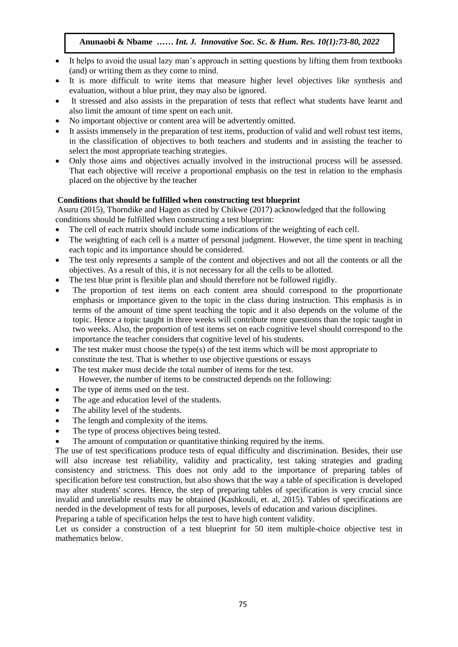- It helps to avoid the usual lazy man's approach in setting questions by lifting them from textbooks (and) or writing them as they come to mind.
- It is more difficult to write items that measure higher level objectives like synthesis and evaluation, without a blue print, they may also be ignored.
- It stressed and also assists in the preparation of tests that reflect what students have learnt and also limit the amount of time spent on each unit.
- No important objective or content area will be advertently omitted.
- It assists immensely in the preparation of test items, production of valid and well robust test items, in the classification of objectives to both teachers and students and in assisting the teacher to select the most appropriate teaching strategies.
- Only those aims and objectives actually involved in the instructional process will be assessed. Unity those all and objectives actually involved in the instructional process will be assessed.<br>That each objective will receive a proportional emphasis on the test in relation to the emphasis placed on the objective by the teacher  $A_n$  in the objective  $B_n$  are teacher

#### **Conditions that should be fulfilled when constructing test blueprint**

Asuru (2015), Thorndike and Hagen as cited by Chikwe (2017) acknowledged that the following conditions should be fulfilled when constructing a test blueprint:

- The cell of each matrix should include some indications of the weighting of each cell.
- The weighting of each cell is a matter of personal judgment. However, the time spent in teaching each topic and its importance should be considered.
- The test only represents a sample of the content and objectives and not all the contents or all the objectives. As a result of this, it is not necessary for all the cells to be allotted.
- The test blue print is flexible plan and should therefore not be followed rigidly.
- The proportion of test items on each content area should correspond to the proportionate emphasis or importance given to the topic in the class during instruction. This emphasis is in terms of the amount of time spent teaching the topic and it also depends on the volume of the topic. Hence a topic taught in three weeks will contribute more questions than the topic taught in two weeks. Also, the proportion of test items set on each cognitive level should correspond to the importance the teacher considers that cognitive level of his students.
- The test maker must choose the type(s) of the test items which will be most appropriate to constitute the test. That is whether to use objective questions or essays
- The test maker must decide the total number of items for the test.
	- However, the number of items to be constructed depends on the following:
- The type of items used on the test.
- The age and education level of the students.
- The ability level of the students.
- The length and complexity of the items.
- The type of process objectives being tested.
- The amount of computation or quantitative thinking required by the items.

The use of test specifications produce tests of equal difficulty and discrimination. Besides, their use will also increase test reliability, validity and practicality, test taking strategies and grading consistency and strictness. This does not only add to the importance of preparing tables of specification before test construction, but also shows that the way a table of specification is developed may alter students' scores. Hence, the step of preparing tables of specification is very crucial since invalid and unreliable results may be obtained (Kashkouli, et. al, 2015). Tables of specifications are needed in the development of tests for all purposes, levels of education and various disciplines.

Preparing a table of specification helps the test to have high content validity.

Let us consider a construction of a test blueprint for 50 item multiple-choice objective test in mathematics below.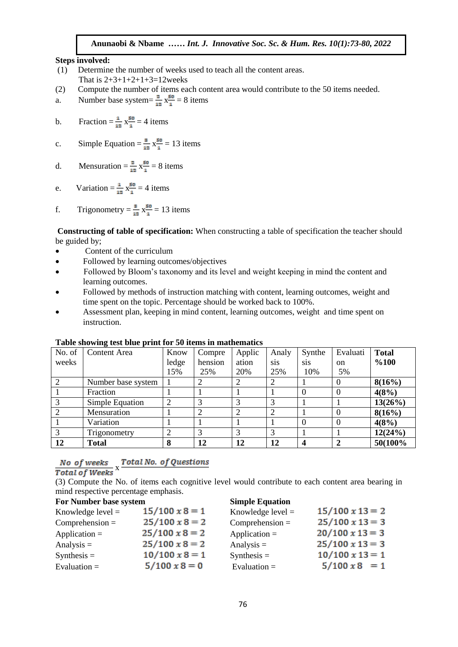#### **Steps involved:**

- steps involved:<br>(1) Determine the number of weeks used to teach all the content areas. That is  $2+3+1+2+1+3=12$  weeks
- $\frac{1}{2}$  Compute the number of items each content area would contribute to the 50 items needed.
- a. Number base system =  $\frac{2}{12} x \frac{1}{12} = 8$  items
- b. Fraction  $=$   $\frac{1}{12}$  x $\frac{50}{1}$  = 4 items.

c. Simple Equation = 
$$
\frac{8}{12} \times \frac{50}{1} = 13
$$
 items

- d. Mensuration  $=\frac{2}{12}x_1^{\frac{50}{1}}=8$  items
- e. Variation  $=\frac{1}{2}$   $\frac{1}{2}$   $\frac{1}{2}$  = 4 items
- f. Trigonometry =  $\frac{3}{12}$  x $\frac{50}{1}$  = 13 items

**Constructing of table of specification:** When constructing a table of specification the teacher should be guided by;

- Content of the curriculum
- Followed by learning outcomes/objectives
- Followed by Bloom's taxonomy and its level and weight keeping in mind the content and learning outcomes.
- Followed by methods of instruction matching with content, learning outcomes, weight and time spent on the topic. Percentage should be worked back to 100%.
- Assessment plan, keeping in mind content, learning outcomes, weight and time spent on instruction.

| No. of        | <b>Content Area</b> | Know  | Compre  | Applic | Analy      | Synthe           | Evaluati      | <b>Total</b> |
|---------------|---------------------|-------|---------|--------|------------|------------------|---------------|--------------|
| weeks         |                     | ledge | hension | ation  | <b>SiS</b> | S <sub>1</sub> S | <sub>on</sub> | %100         |
|               |                     | 15%   | 25%     | 20%    | 25%        | 10%              | 5%            |              |
|               | Number base system  |       |         | 2      | 2          |                  |               | 8(16%)       |
|               | Fraction            |       |         |        |            | $\theta$         |               | 4(8%)        |
| $\mathcal{R}$ | Simple Equation     |       | 3       | 3      |            |                  |               | 13(26%)      |
|               | Mensuration         |       | 2       | 2      |            |                  |               | 8(16%)       |
|               | Variation           |       |         |        |            | $\theta$         |               | 4(8%)        |
| $\mathcal{R}$ | Trigonometry        |       |         | 3      |            |                  |               | 12(24%)      |
| 12            | Total               | 8     | 12      | 12     | 12         |                  |               | 50(100%)     |

#### **Table showing test blue print for 50 items in mathematics**

# No of weeks x Total No. of Questions<br>Total of Weeks x

(3) Compute the No. of items each cognitive level would contribute to each content area bearing in mind respective percentage emphasis.

| For Number base system | <b>Simple Equation</b> |                        |  |
|------------------------|------------------------|------------------------|--|
| $15/100 \times 8 = 1$  | Knowledge level $=$    | $15/100 \times 13 = 2$ |  |
| $25/100 \times 8 = 2$  | $Comprehension =$      | $25/100 \times 13 = 3$ |  |
| $25/100 \times 8 = 2$  | Application $=$        | $20/100 \times 13 = 3$ |  |
| $25/100 \times 8 = 2$  | Analysis $=$           | $25/100 \times 13 = 3$ |  |
| $10/100 \times 8 = 1$  | $Synthesis =$          | $10/100 \times 13 = 1$ |  |
| $5/100 \times 8 = 0$   | Evaluation $=$         | $5/100 \times 8 = 1$   |  |
|                        |                        |                        |  |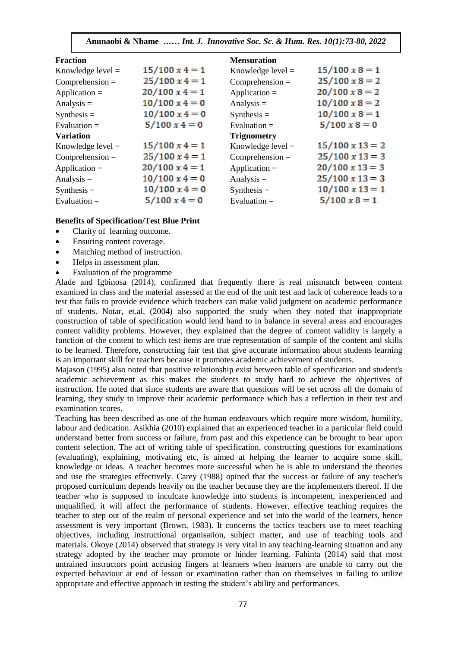| <b>Fraction</b>     |                       | <b>Mensuration</b>  |                        |
|---------------------|-----------------------|---------------------|------------------------|
| Knowledge level $=$ | $15/100 \times 4 = 1$ | Knowledge level $=$ | $15/100 \times 8 = 1$  |
| $Comprehension =$   | $25/100 \times 4 = 1$ | $Comprehension =$   | $25/100 \times 8 = 2$  |
| Application $=$     | $20/100 \times 4 = 1$ | Application $=$     | $20/100 \times 8 = 2$  |
| Analysis $=$        | $10/100 \times 4 = 0$ | Analysis $=$        | $10/100 \times 8 = 2$  |
| $Synthesis =$       | $10/100 \times 4 = 0$ | $Synthesis =$       | $10/100 \times 8 = 1$  |
| Evaluation $=$      | $5/100 \times 4 = 0$  | Evaluation $=$      | $5/100 \times 8 = 0$   |
| <b>Variation</b>    |                       | <b>Trignometry</b>  |                        |
| Knowledge level $=$ | $15/100 \times 4 = 1$ | Knowledge level $=$ | $15/100 \times 13 = 2$ |
| $Comprehension =$   | $25/100 \times 4 = 1$ | $Comprehension =$   | $25/100 \times 13 = 3$ |
| Application $=$     | $20/100 \times 4 = 1$ | Application $=$     | $20/100 \times 13 = 3$ |
| Analysis $=$        | $10/100 \times 4 = 0$ | Analysis $=$        | $25/100 \times 13 = 3$ |
| $Synthesis =$       | $10/100 \times 4 = 0$ | $Synthesis =$       | $10/100 \times 13 = 1$ |
| Evaluation $=$      | $5/100 \times 4 = 0$  | Evaluation $=$      | $5/100 \times 8 = 1$   |

#### **Benefits of Specification/Test Blue Print**

- Clarity of learning outcome.
- Ensuring content coverage.
- Matching method of instruction.
- Helps in assessment plan.
- Evaluation of the programme

Alade and Igbinosa (2014), confirmed that frequently there is real mismatch between content examined in class and the material assessed at the end of the unit test and lack of coherence leads to a test that fails to provide evidence which teachers can make valid judgment on academic performance of students. Notar, et.al, (2004) also supported the study when they noted that inappropriate construction of table of specification would lend hand to in balance in several areas and encourages content validity problems. However, they explained that the degree of content validity is largely a function of the content to which test items are true representation of sample of the content and skills to be learned. Therefore, constructing fair test that give accurate information about students learning is an important skill for teachers because it promotes academic achievement of students.

Majason (1995) also noted that positive relationship exist between table of specification and student's academic achievement as this makes the students to study hard to achieve the objectives of instruction. He noted that since students are aware that questions will be set across all the domain of learning, they study to improve their academic performance which has a reflection in their test and examination scores.

Teaching has been described as one of the human endeavours which require more wisdom, humility, labour and dedication. Asikhia (2010) explained that an experienced teacher in a particular field could understand better from success or failure, from past and this experience can be brought to bear upon content selection. The act of writing table of specification, constructing questions for examinations (evaluating), explaining, motivating etc, is aimed at helping the learner to acquire some skill, knowledge or ideas. A teacher becomes more successful when he is able to understand the theories and use the strategies effectively. Carey (1988) opined that the success or failure of any teacher's proposed curriculum depends heavily on the teacher because they are the implementers thereof. If the teacher who is supposed to inculcate knowledge into students is incompetent, inexperienced and unqualified, it will affect the performance of students. However, effective teaching requires the teacher to step out of the realm of personal experience and set into the world of the learners, hence assessment is very important (Brown, 1983). It concerns the tactics teachers use to meet teaching objectives, including instructional organisation, subject matter, and use of teaching tools and materials. Okoye (2014) observed that strategy is very vital in any teaching-learning situation and any strategy adopted by the teacher may promote or hinder learning. Fahinta (2014) said that most untrained instructors point accusing fingers at learners when learners are unable to carry out the expected behaviour at end of lesson or examination rather than on themselves in failing to utilize appropriate and effective approach in testing the student's ability and performances.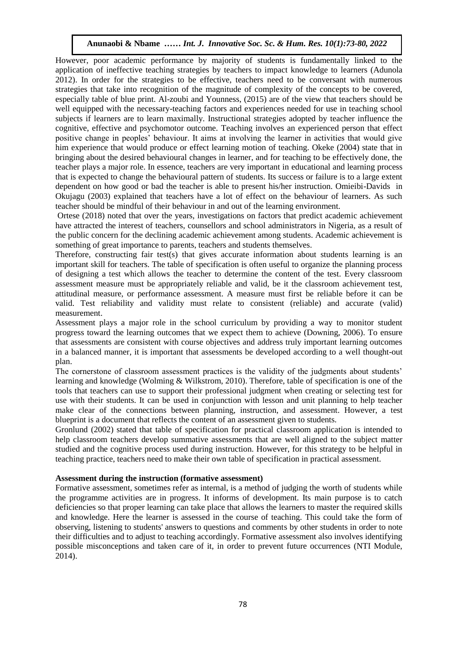However, poor academic performance by majority of students is fundamentally linked to the application of ineffective teaching strategies by teachers to impact knowledge to learners (Adunola 2012). In order for the strategies to be effective, teachers need to be conversant with numerous EUTE). In order for the strategies to be effective, teachers freed to be conversant with numerous strategies that take into recognition of the magnitude of complexity of the concepts to be covered, especially table of blue print. Al-zoubi and Younness, (2015) are of the view that teachers should be experiences in the cross primarily about the metal of the View intervals of the Wosume Society and experiences needed for use in teaching school well equipped with the necessary-teaching factors and experiences needed for subjects if learners are to learn maximally. Instructional strategies adopted by teacher influence the cognitive, effective and psychomotor outcome. Teaching involves an experienced person that effect positive change in peoples' behaviour. It aims at involving the learner in activities that would give him experience that would produce or effect learning motion of teaching. Okeke (2004) state that in bringing about the desired behavioural changes in learner, and for teaching to be effectively done, the teacher plays a major role. In essence, teachers are very important in educational and learning process that is expected to change the behavioural pattern of students. Its success or failure is to a large extent dependent on how good or bad the teacher is able to present his/her instruction. Omieibi-Davids in Okujagu (2003) explained that teachers have a lot of effect on the behaviour of learners. As such teacher should be mindful of their behaviour in and out of the learning environment.

Ortese (2018) noted that over the years, investigations on factors that predict academic achievement have attracted the interest of teachers, counsellors and school administrators in Nigeria, as a result of the public concern for the declining academic achievement among students. Academic achievement is something of great importance to parents, teachers and students themselves.

Therefore, constructing fair test(s) that gives accurate information about students learning is an important skill for teachers. The table of specification is often useful to organize the planning process of designing a test which allows the teacher to determine the content of the test. Every classroom assessment measure must be appropriately reliable and valid, be it the classroom achievement test, attitudinal measure, or performance assessment. A measure must first be reliable before it can be valid. Test reliability and validity must relate to consistent (reliable) and accurate (valid) measurement.

Assessment plays a major role in the school curriculum by providing a way to monitor student progress toward the learning outcomes that we expect them to achieve (Downing, 2006). To ensure that assessments are consistent with course objectives and address truly important learning outcomes in a balanced manner, it is important that assessments be developed according to a well thought-out plan.

The cornerstone of classroom assessment practices is the validity of the judgments about students' learning and knowledge (Wolming & Wilkstrom, 2010). Therefore, table of specification is one of the tools that teachers can use to support their professional judgment when creating or selecting test for use with their students. It can be used in conjunction with lesson and unit planning to help teacher make clear of the connections between planning, instruction, and assessment. However, a test blueprint is a document that reflects the content of an assessment given to students.

Gronlund (2002) stated that table of specification for practical classroom application is intended to help classroom teachers develop summative assessments that are well aligned to the subject matter studied and the cognitive process used during instruction. However, for this strategy to be helpful in teaching practice, teachers need to make their own table of specification in practical assessment.

#### **Assessment during the instruction (formative assessment)**

Formative assessment, sometimes refer as internal, is a method of judging the worth of students while the programme activities are in progress. It informs of development. Its main purpose is to catch deficiencies so that proper learning can take place that allows the learners to master the required skills and knowledge. Here the learner is assessed in the course of teaching. This could take the form of observing, listening to students' answers to questions and comments by other students in order to note their difficulties and to adjust to teaching accordingly. Formative assessment also involves identifying possible misconceptions and taken care of it, in order to prevent future occurrences (NTI Module, 2014).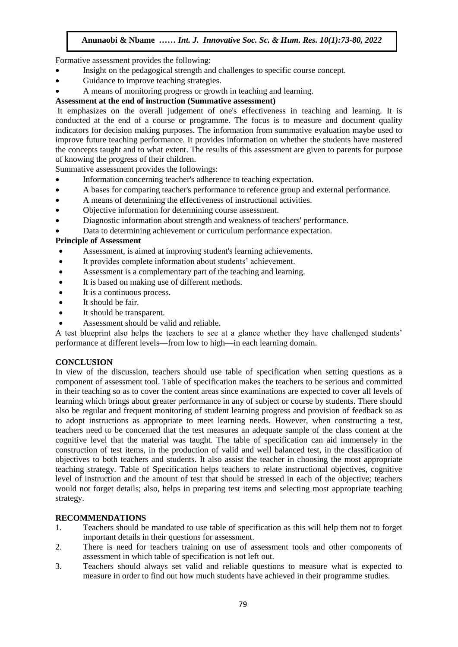Formative assessment provides the following:

- Insight on the pedagogical strength and challenges to specific course concept.
- Guidance to improve teaching strategies.
- A means of monitoring progress or growth in teaching and learning.

### Assessment at the end of instruction (Summative assessment)

It emphasizes on the overall judgement of one's effectiveness in teaching and learning. It is conducted at the end of a course or programme. The focus is to measure and document quality indicators for decision making purposes. The information from summative evaluation maybe used to improve future teaching performance. It provides information on whether the students have mastered the concepts taught and to what extent. The results of this assessment are given to parents for purpose of knowing the progress of their children.

or knowing the progress of their children.<br>Summative assessment provides the followings:

- Information concerning teacher's adherence to teaching expectation.
- A bases for comparing teacher's additioned to reference group and external performance.
- A means of determining the effectiveness of instructional activities.
- Objective information for determining course assessment.
- Diagnostic information about strength and weakness of teachers' performance.
- Data to determining achievement or curriculum performance expectation.

#### **Principle of Assessment**

- Assessment, is aimed at improving student's learning achievements.
- It provides complete information about students' achievement.
- Assessment is a complementary part of the teaching and learning.
- It is based on making use of different methods.
- It is a continuous process.
- It should be fair.
- It should be transparent.
- Assessment should be valid and reliable.

A test blueprint also helps the teachers to see at a glance whether they have challenged students' performance at different levels—from low to high—in each learning domain.

#### **CONCLUSION**

In view of the discussion, teachers should use table of specification when setting questions as a component of assessment tool. Table of specification makes the teachers to be serious and committed in their teaching so as to cover the content areas since examinations are expected to cover all levels of learning which brings about greater performance in any of subject or course by students. There should also be regular and frequent monitoring of student learning progress and provision of feedback so as to adopt instructions as appropriate to meet learning needs. However, when constructing a test, teachers need to be concerned that the test measures an adequate sample of the class content at the cognitive level that the material was taught. The table of specification can aid immensely in the construction of test items, in the production of valid and well balanced test, in the classification of objectives to both teachers and students. It also assist the teacher in choosing the most appropriate teaching strategy. Table of Specification helps teachers to relate instructional objectives, cognitive level of instruction and the amount of test that should be stressed in each of the objective; teachers would not forget details; also, helps in preparing test items and selecting most appropriate teaching strategy.

#### **RECOMMENDATIONS**

- 1. Teachers should be mandated to use table of specification as this will help them not to forget important details in their questions for assessment.
- 2. There is need for teachers training on use of assessment tools and other components of assessment in which table of specification is not left out.
- 3. Teachers should always set valid and reliable questions to measure what is expected to measure in order to find out how much students have achieved in their programme studies.